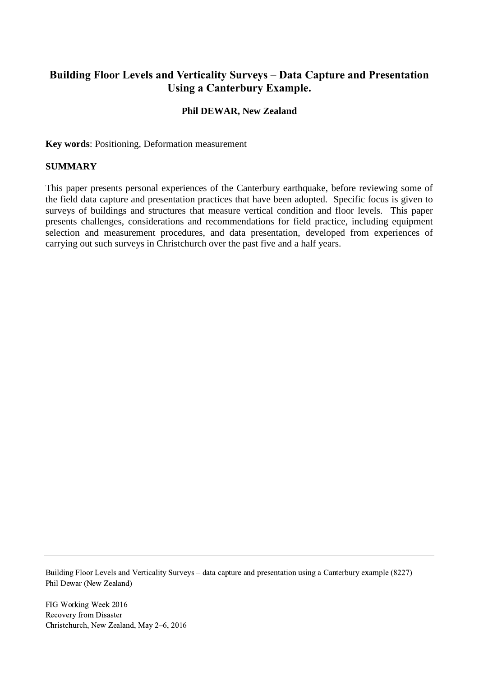# **Building Floor Levels and Verticality Surveys – Data Capture and Presentation Using a Canterbury Example.**

## **Phil DEWAR, New Zealand**

**Key words**: Positioning, Deformation measurement

#### **SUMMARY**

This paper presents personal experiences of the Canterbury earthquake, before reviewing some of the field data capture and presentation practices that have been adopted. Specific focus is given to surveys of buildings and structures that measure vertical condition and floor levels. This paper presents challenges, considerations and recommendations for field practice, including equipment selection and measurement procedures, and data presentation, developed from experiences of carrying out such surveys in Christchurch over the past five and a half years.

Building Floor Levels and Verticality Surveys – data capture and presentation using a Canterbury example (8227) Phil Dewar (New Zealand)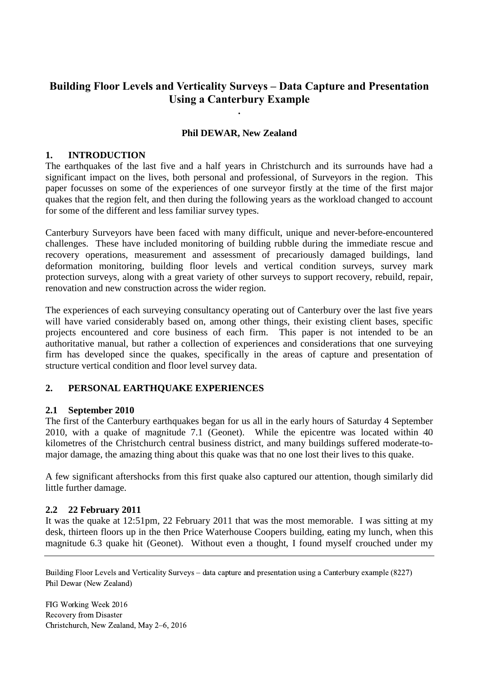# **Building Floor Levels and Verticality Surveys – Data Capture and Presentation Using a Canterbury Example**

**.**

#### **Phil DEWAR, New Zealand**

#### **1. INTRODUCTION**

The earthquakes of the last five and a half years in Christchurch and its surrounds have had a significant impact on the lives, both personal and professional, of Surveyors in the region. This paper focusses on some of the experiences of one surveyor firstly at the time of the first major quakes that the region felt, and then during the following years as the workload changed to account for some of the different and less familiar survey types.

Canterbury Surveyors have been faced with many difficult, unique and never-before-encountered challenges. These have included monitoring of building rubble during the immediate rescue and recovery operations, measurement and assessment of precariously damaged buildings, land deformation monitoring, building floor levels and vertical condition surveys, survey mark protection surveys, along with a great variety of other surveys to support recovery, rebuild, repair, renovation and new construction across the wider region.

The experiences of each surveying consultancy operating out of Canterbury over the last five years will have varied considerably based on, among other things, their existing client bases, specific projects encountered and core business of each firm. This paper is not intended to be an authoritative manual, but rather a collection of experiences and considerations that one surveying firm has developed since the quakes, specifically in the areas of capture and presentation of structure vertical condition and floor level survey data.

## **2. PERSONAL EARTHQUAKE EXPERIENCES**

#### **2.1 September 2010**

The first of the Canterbury earthquakes began for us all in the early hours of Saturday 4 September 2010, with a quake of magnitude 7.1 (Geonet). While the epicentre was located within 40 kilometres of the Christchurch central business district, and many buildings suffered moderate-tomajor damage, the amazing thing about this quake was that no one lost their lives to this quake.

A few significant aftershocks from this first quake also captured our attention, though similarly did little further damage.

#### **2.2 22 February 2011**

It was the quake at 12:51pm, 22 February 2011 that was the most memorable. I was sitting at my desk, thirteen floors up in the then Price Waterhouse Coopers building, eating my lunch, when this magnitude 6.3 quake hit (Geonet). Without even a thought, I found myself crouched under my

Building Floor Levels and Verticality Surveys – data capture and presentation using a Canterbury example (8227) Phil Dewar (New Zealand)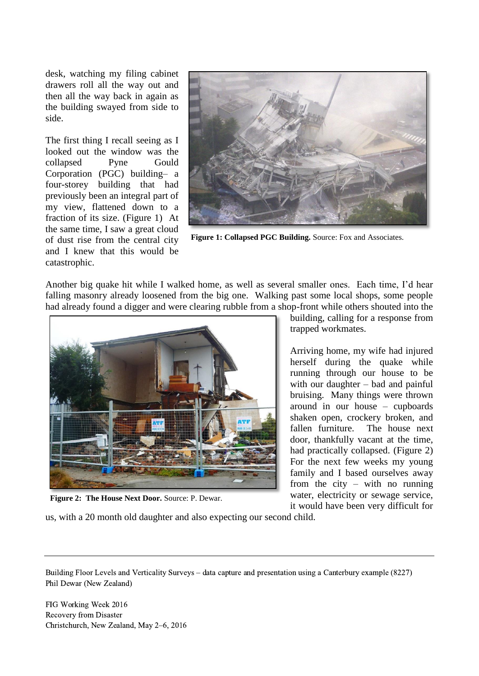desk, watching my filing cabinet drawers roll all the way out and then all the way back in again as the building swayed from side to side.

The first thing I recall seeing as I looked out the window was the collapsed Pyne Gould Corporation (PGC) building– a four-storey building that had previously been an integral part of my view, flattened down to a fraction of its size. [\(Figure 1\)](#page-2-0) At the same time, I saw a great cloud of dust rise from the central city and I knew that this would be catastrophic.



**Figure 1: Collapsed PGC Building.** Source: Fox and Associates.

Another big quake hit while I walked home, as well as several smaller ones. Each time, I'd hear falling masonry already loosened from the big one. Walking past some local shops, some people had already found a digger and were clearing rubble from a shop-front while others shouted into the



**Figure 2: The House Next Door.** Source: P. Dewar.

<span id="page-2-0"></span>building, calling for a response from trapped workmates.

Arriving home, my wife had injured herself during the quake while running through our house to be with our daughter – bad and painful bruising. Many things were thrown around in our house – cupboards shaken open, crockery broken, and fallen furniture. The house next door, thankfully vacant at the time, had practically collapsed. [\(Figure 2\)](#page-2-1) For the next few weeks my young family and I based ourselves away from the city – with no running water, electricity or sewage service, it would have been very difficult for

<span id="page-2-1"></span>us, with a 20 month old daughter and also expecting our second child.

Building Floor Levels and Verticality Surveys – data capture and presentation using a Canterbury example (8227) Phil Dewar (New Zealand)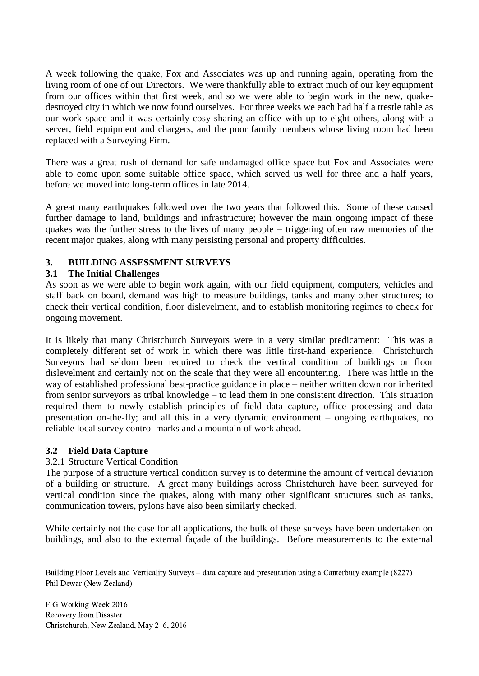A week following the quake, Fox and Associates was up and running again, operating from the living room of one of our Directors. We were thankfully able to extract much of our key equipment from our offices within that first week, and so we were able to begin work in the new, quakedestroyed city in which we now found ourselves. For three weeks we each had half a trestle table as our work space and it was certainly cosy sharing an office with up to eight others, along with a server, field equipment and chargers, and the poor family members whose living room had been replaced with a Surveying Firm.

There was a great rush of demand for safe undamaged office space but Fox and Associates were able to come upon some suitable office space, which served us well for three and a half years, before we moved into long-term offices in late 2014.

A great many earthquakes followed over the two years that followed this. Some of these caused further damage to land, buildings and infrastructure; however the main ongoing impact of these quakes was the further stress to the lives of many people – triggering often raw memories of the recent major quakes, along with many persisting personal and property difficulties.

# **3. BUILDING ASSESSMENT SURVEYS**

## **3.1 The Initial Challenges**

As soon as we were able to begin work again, with our field equipment, computers, vehicles and staff back on board, demand was high to measure buildings, tanks and many other structures; to check their vertical condition, floor dislevelment, and to establish monitoring regimes to check for ongoing movement.

It is likely that many Christchurch Surveyors were in a very similar predicament: This was a completely different set of work in which there was little first-hand experience. Christchurch Surveyors had seldom been required to check the vertical condition of buildings or floor dislevelment and certainly not on the scale that they were all encountering. There was little in the way of established professional best-practice guidance in place – neither written down nor inherited from senior surveyors as tribal knowledge – to lead them in one consistent direction. This situation required them to newly establish principles of field data capture, office processing and data presentation on-the-fly; and all this in a very dynamic environment – ongoing earthquakes, no reliable local survey control marks and a mountain of work ahead.

## **3.2 Field Data Capture**

## 3.2.1 Structure Vertical Condition

The purpose of a structure vertical condition survey is to determine the amount of vertical deviation of a building or structure. A great many buildings across Christchurch have been surveyed for vertical condition since the quakes, along with many other significant structures such as tanks, communication towers, pylons have also been similarly checked.

While certainly not the case for all applications, the bulk of these surveys have been undertaken on buildings, and also to the external façade of the buildings. Before measurements to the external

Building Floor Levels and Verticality Surveys – data capture and presentation using a Canterbury example (8227) Phil Dewar (New Zealand)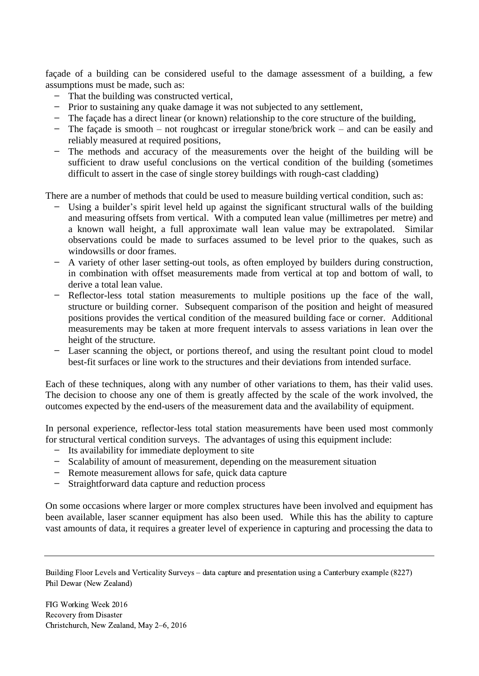façade of a building can be considered useful to the damage assessment of a building, a few assumptions must be made, such as:

- ̶ That the building was constructed vertical,
- ̶ Prior to sustaining any quake damage it was not subjected to any settlement,
- ̶ The façade has a direct linear (or known) relationship to the core structure of the building,
- ̶ The façade is smooth not roughcast or irregular stone/brick work and can be easily and reliably measured at required positions,
- The methods and accuracy of the measurements over the height of the building will be sufficient to draw useful conclusions on the vertical condition of the building (sometimes difficult to assert in the case of single storey buildings with rough-cast cladding)

There are a number of methods that could be used to measure building vertical condition, such as:

- Using a builder's spirit level held up against the significant structural walls of the building and measuring offsets from vertical. With a computed lean value (millimetres per metre) and a known wall height, a full approximate wall lean value may be extrapolated. Similar observations could be made to surfaces assumed to be level prior to the quakes, such as windowsills or door frames.
- ̶ A variety of other laser setting-out tools, as often employed by builders during construction, in combination with offset measurements made from vertical at top and bottom of wall, to derive a total lean value.
- ̶ Reflector-less total station measurements to multiple positions up the face of the wall, structure or building corner. Subsequent comparison of the position and height of measured positions provides the vertical condition of the measured building face or corner. Additional measurements may be taken at more frequent intervals to assess variations in lean over the height of the structure.
- Laser scanning the object, or portions thereof, and using the resultant point cloud to model best-fit surfaces or line work to the structures and their deviations from intended surface.

Each of these techniques, along with any number of other variations to them, has their valid uses. The decision to choose any one of them is greatly affected by the scale of the work involved, the outcomes expected by the end-users of the measurement data and the availability of equipment.

In personal experience, reflector-less total station measurements have been used most commonly for structural vertical condition surveys. The advantages of using this equipment include:

- ̶ Its availability for immediate deployment to site
- ̶ Scalability of amount of measurement, depending on the measurement situation
- ̶ Remote measurement allows for safe, quick data capture
- ̶ Straightforward data capture and reduction process

On some occasions where larger or more complex structures have been involved and equipment has been available, laser scanner equipment has also been used. While this has the ability to capture vast amounts of data, it requires a greater level of experience in capturing and processing the data to

Building Floor Levels and Verticality Surveys – data capture and presentation using a Canterbury example (8227) Phil Dewar (New Zealand)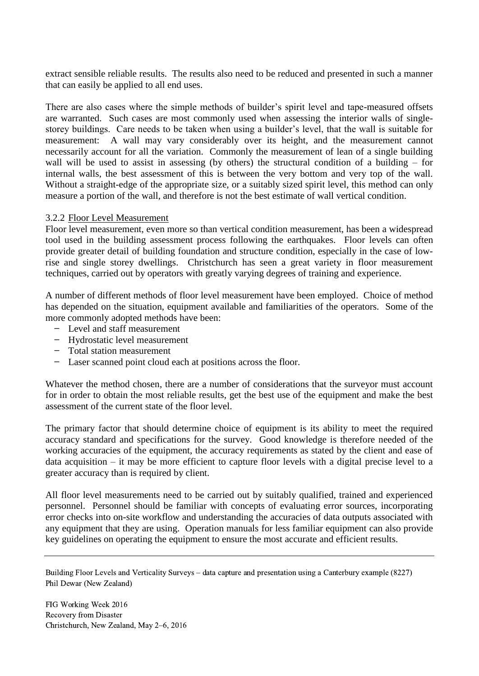extract sensible reliable results. The results also need to be reduced and presented in such a manner that can easily be applied to all end uses.

There are also cases where the simple methods of builder's spirit level and tape-measured offsets are warranted. Such cases are most commonly used when assessing the interior walls of singlestorey buildings. Care needs to be taken when using a builder's level, that the wall is suitable for measurement: A wall may vary considerably over its height, and the measurement cannot necessarily account for all the variation. Commonly the measurement of lean of a single building wall will be used to assist in assessing (by others) the structural condition of a building – for internal walls, the best assessment of this is between the very bottom and very top of the wall. Without a straight-edge of the appropriate size, or a suitably sized spirit level, this method can only measure a portion of the wall, and therefore is not the best estimate of wall vertical condition.

#### 3.2.2 Floor Level Measurement

Floor level measurement, even more so than vertical condition measurement, has been a widespread tool used in the building assessment process following the earthquakes. Floor levels can often provide greater detail of building foundation and structure condition, especially in the case of lowrise and single storey dwellings. Christchurch has seen a great variety in floor measurement techniques, carried out by operators with greatly varying degrees of training and experience.

A number of different methods of floor level measurement have been employed. Choice of method has depended on the situation, equipment available and familiarities of the operators. Some of the more commonly adopted methods have been:

- ̶ Level and staff measurement
- ̶ Hydrostatic level measurement
- ̶ Total station measurement
- ̶ Laser scanned point cloud each at positions across the floor.

Whatever the method chosen, there are a number of considerations that the surveyor must account for in order to obtain the most reliable results, get the best use of the equipment and make the best assessment of the current state of the floor level.

The primary factor that should determine choice of equipment is its ability to meet the required accuracy standard and specifications for the survey. Good knowledge is therefore needed of the working accuracies of the equipment, the accuracy requirements as stated by the client and ease of data acquisition – it may be more efficient to capture floor levels with a digital precise level to a greater accuracy than is required by client.

All floor level measurements need to be carried out by suitably qualified, trained and experienced personnel. Personnel should be familiar with concepts of evaluating error sources, incorporating error checks into on-site workflow and understanding the accuracies of data outputs associated with any equipment that they are using. Operation manuals for less familiar equipment can also provide key guidelines on operating the equipment to ensure the most accurate and efficient results.

Building Floor Levels and Verticality Surveys – data capture and presentation using a Canterbury example (8227) Phil Dewar (New Zealand)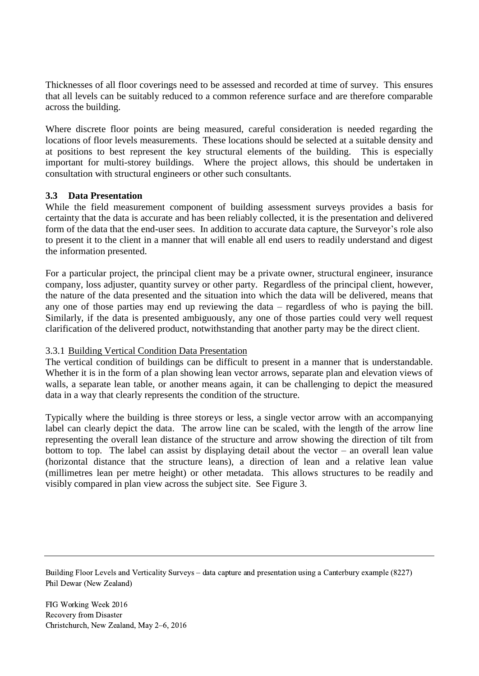Thicknesses of all floor coverings need to be assessed and recorded at time of survey. This ensures that all levels can be suitably reduced to a common reference surface and are therefore comparable across the building.

Where discrete floor points are being measured, careful consideration is needed regarding the locations of floor levels measurements. These locations should be selected at a suitable density and at positions to best represent the key structural elements of the building. This is especially important for multi-storey buildings. Where the project allows, this should be undertaken in consultation with structural engineers or other such consultants.

## **3.3 Data Presentation**

While the field measurement component of building assessment surveys provides a basis for certainty that the data is accurate and has been reliably collected, it is the presentation and delivered form of the data that the end-user sees. In addition to accurate data capture, the Surveyor's role also to present it to the client in a manner that will enable all end users to readily understand and digest the information presented.

For a particular project, the principal client may be a private owner, structural engineer, insurance company, loss adjuster, quantity survey or other party. Regardless of the principal client, however, the nature of the data presented and the situation into which the data will be delivered, means that any one of those parties may end up reviewing the data – regardless of who is paying the bill. Similarly, if the data is presented ambiguously, any one of those parties could very well request clarification of the delivered product, notwithstanding that another party may be the direct client.

## 3.3.1 Building Vertical Condition Data Presentation

The vertical condition of buildings can be difficult to present in a manner that is understandable. Whether it is in the form of a plan showing lean vector arrows, separate plan and elevation views of walls, a separate lean table, or another means again, it can be challenging to depict the measured data in a way that clearly represents the condition of the structure.

Typically where the building is three storeys or less, a single vector arrow with an accompanying label can clearly depict the data. The arrow line can be scaled, with the length of the arrow line representing the overall lean distance of the structure and arrow showing the direction of tilt from bottom to top. The label can assist by displaying detail about the vector – an overall lean value (horizontal distance that the structure leans), a direction of lean and a relative lean value (millimetres lean per metre height) or other metadata. This allows structures to be readily and visibly compared in plan view across the subject site. See [Figure 3.](#page-7-0)

Building Floor Levels and Verticality Surveys – data capture and presentation using a Canterbury example (8227) Phil Dewar (New Zealand)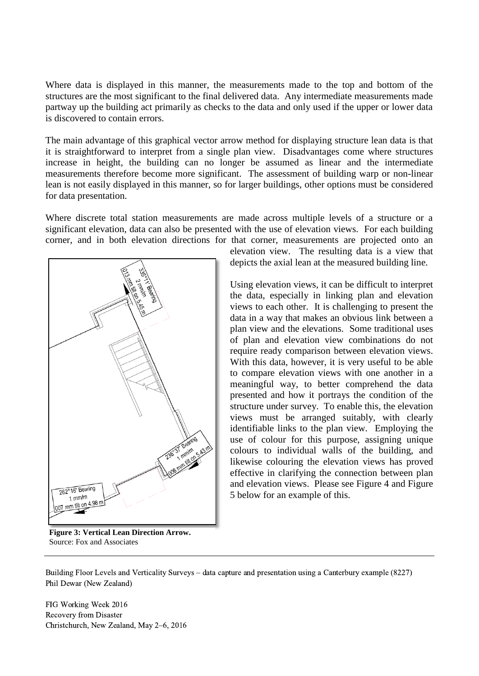Where data is displayed in this manner, the measurements made to the top and bottom of the structures are the most significant to the final delivered data. Any intermediate measurements made partway up the building act primarily as checks to the data and only used if the upper or lower data is discovered to contain errors.

The main advantage of this graphical vector arrow method for displaying structure lean data is that it is straightforward to interpret from a single plan view. Disadvantages come where structures increase in height, the building can no longer be assumed as linear and the intermediate measurements therefore become more significant. The assessment of building warp or non-linear lean is not easily displayed in this manner, so for larger buildings, other options must be considered for data presentation.

Where discrete total station measurements are made across multiple levels of a structure or a significant elevation, data can also be presented with the use of elevation views. For each building corner, and in both elevation directions for that corner, measurements are projected onto an



elevation view. The resulting data is a view that depicts the axial lean at the measured building line.

Using elevation views, it can be difficult to interpret the data, especially in linking plan and elevation views to each other. It is challenging to present the data in a way that makes an obvious link between a plan view and the elevations. Some traditional uses of plan and elevation view combinations do not require ready comparison between elevation views. With this data, however, it is very useful to be able to compare elevation views with one another in a meaningful way, to better comprehend the data presented and how it portrays the condition of the structure under survey. To enable this, the elevation views must be arranged suitably, with clearly identifiable links to the plan view. Employing the use of colour for this purpose, assigning unique colours to individual walls of the building, and likewise colouring the elevation views has proved effective in clarifying the connection between plan and elevation views. Please see [Figure 4](#page-8-0) and [Figure](#page-9-0)  [5](#page-9-0) below for an example of this.

<span id="page-7-0"></span>**Figure 3: Vertical Lean Direction Arrow.**  Source: Fox and Associates

Building Floor Levels and Verticality Surveys – data capture and presentation using a Canterbury example (8227) Phil Dewar (New Zealand)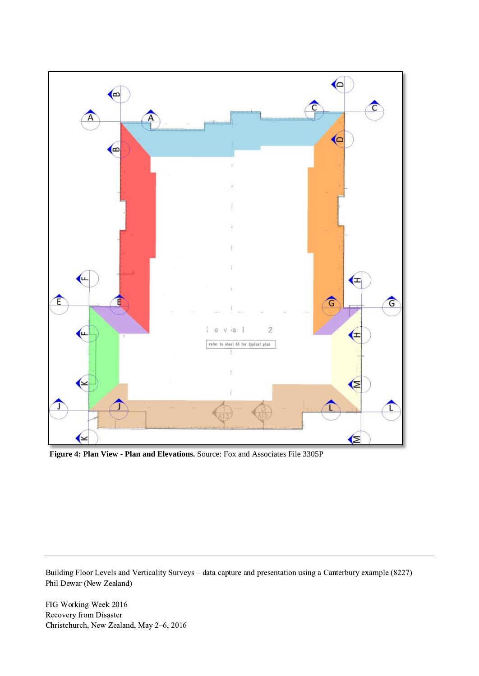

<span id="page-8-0"></span>**Figure 4: Plan View - Plan and Elevations.** Source: Fox and Associates File 3305P

Building Floor Levels and Verticality Surveys – data capture and presentation using a Canterbury example (8227) Phil Dewar (New Zealand)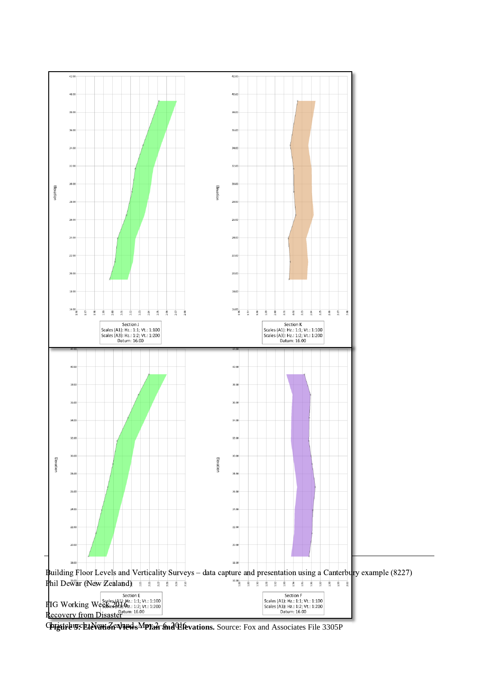

<span id="page-9-0"></span>**Christelw. EleVaviele views MPIan and Elevations.** Source: Fox and Associates File 3305P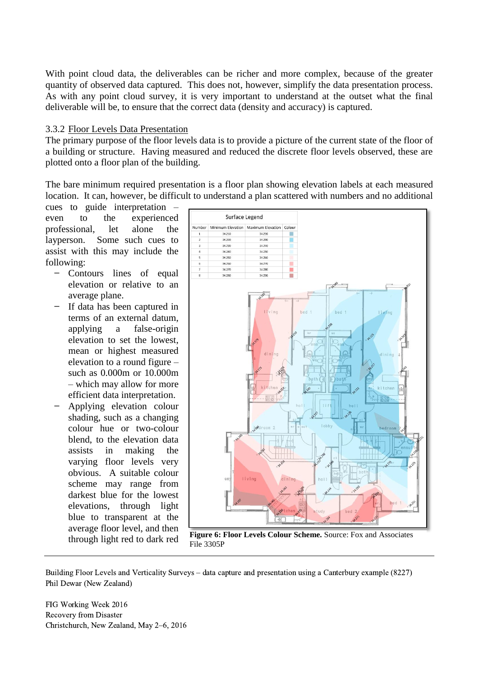With point cloud data, the deliverables can be richer and more complex, because of the greater quantity of observed data captured. This does not, however, simplify the data presentation process. As with any point cloud survey, it is very important to understand at the outset what the final deliverable will be, to ensure that the correct data (density and accuracy) is captured.

#### 3.3.2 Floor Levels Data Presentation

The primary purpose of the floor levels data is to provide a picture of the current state of the floor of a building or structure. Having measured and reduced the discrete floor levels observed, these are plotted onto a floor plan of the building.

The bare minimum required presentation is a floor plan showing elevation labels at each measured location. It can, however, be difficult to understand a plan scattered with numbers and no additional

cues to guide interpretation – even to the experienced professional, let alone the layperson. Some such cues to assist with this may include the following:

- ̶ Contours lines of equal elevation or relative to an average plane.
- If data has been captured in terms of an external datum, applying a false-origin elevation to set the lowest, mean or highest measured elevation to a round figure – such as 0.000m or 10.000m – which may allow for more efficient data interpretation.
- ̶ Applying elevation colour shading, such as a changing colour hue or two-colour blend, to the elevation data assists in making the varying floor levels very obvious. A suitable colour scheme may range from darkest blue for the lowest elevations, through light blue to transparent at the average floor level, and then



<span id="page-10-0"></span>through light red to dark red **Figure 6: Floor Levels Colour Scheme.** Source: Fox and Associates File 3305P

Building Floor Levels and Verticality Surveys – data capture and presentation using a Canterbury example (8227) Phil Dewar (New Zealand)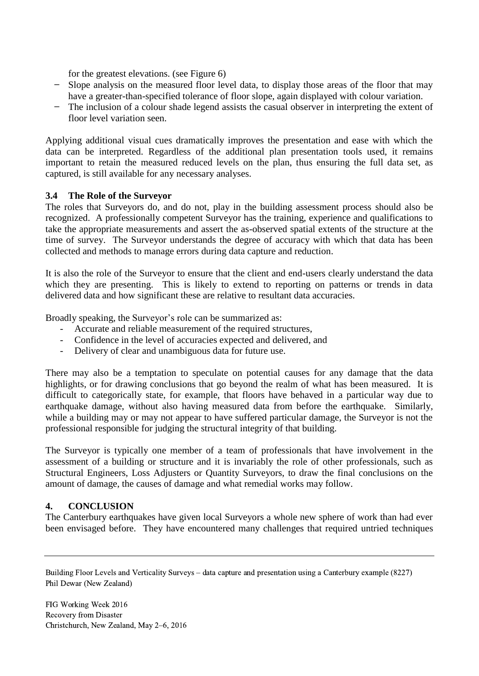for the greatest elevations. (see [Figure 6\)](#page-10-0)

- ̶ Slope analysis on the measured floor level data, to display those areas of the floor that may have a greater-than-specified tolerance of floor slope, again displayed with colour variation.
- The inclusion of a colour shade legend assists the casual observer in interpreting the extent of floor level variation seen.

Applying additional visual cues dramatically improves the presentation and ease with which the data can be interpreted. Regardless of the additional plan presentation tools used, it remains important to retain the measured reduced levels on the plan, thus ensuring the full data set, as captured, is still available for any necessary analyses.

#### **3.4 The Role of the Surveyor**

The roles that Surveyors do, and do not, play in the building assessment process should also be recognized. A professionally competent Surveyor has the training, experience and qualifications to take the appropriate measurements and assert the as-observed spatial extents of the structure at the time of survey. The Surveyor understands the degree of accuracy with which that data has been collected and methods to manage errors during data capture and reduction.

It is also the role of the Surveyor to ensure that the client and end-users clearly understand the data which they are presenting. This is likely to extend to reporting on patterns or trends in data delivered data and how significant these are relative to resultant data accuracies.

Broadly speaking, the Surveyor's role can be summarized as:

- Accurate and reliable measurement of the required structures,
- Confidence in the level of accuracies expected and delivered, and
- Delivery of clear and unambiguous data for future use.

There may also be a temptation to speculate on potential causes for any damage that the data highlights, or for drawing conclusions that go beyond the realm of what has been measured. It is difficult to categorically state, for example, that floors have behaved in a particular way due to earthquake damage, without also having measured data from before the earthquake. Similarly, while a building may or may not appear to have suffered particular damage, the Surveyor is not the professional responsible for judging the structural integrity of that building.

The Surveyor is typically one member of a team of professionals that have involvement in the assessment of a building or structure and it is invariably the role of other professionals, such as Structural Engineers, Loss Adjusters or Quantity Surveyors, to draw the final conclusions on the amount of damage, the causes of damage and what remedial works may follow.

## **4. CONCLUSION**

The Canterbury earthquakes have given local Surveyors a whole new sphere of work than had ever been envisaged before. They have encountered many challenges that required untried techniques

Building Floor Levels and Verticality Surveys – data capture and presentation using a Canterbury example (8227) Phil Dewar (New Zealand)